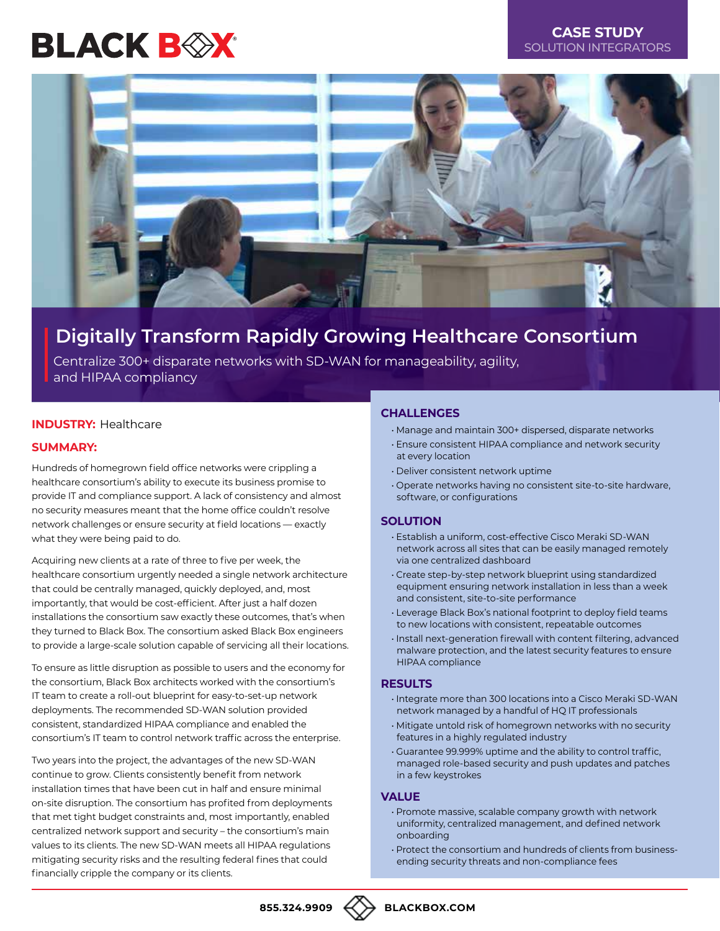# **BLACK BOX**



# **Digitally Transform Rapidly Growing Healthcare Consortium**

Centralize 300+ disparate networks with SD-WAN for manageability, agility, and HIPAA compliancy

# **INDUSTRY:** Healthcare

# **SUMMARY:**

Hundreds of homegrown field office networks were crippling a healthcare consortium's ability to execute its business promise to provide IT and compliance support. A lack of consistency and almost no security measures meant that the home office couldn't resolve network challenges or ensure security at field locations — exactly what they were being paid to do.

Acquiring new clients at a rate of three to five per week, the healthcare consortium urgently needed a single network architecture that could be centrally managed, quickly deployed, and, most importantly, that would be cost-efficient. After just a half dozen installations the consortium saw exactly these outcomes, that's when they turned to Black Box. The consortium asked Black Box engineers to provide a large-scale solution capable of servicing all their locations.

To ensure as little disruption as possible to users and the economy for the consortium, Black Box architects worked with the consortium's IT team to create a roll-out blueprint for easy-to-set-up network deployments. The recommended SD-WAN solution provided consistent, standardized HIPAA compliance and enabled the consortium's IT team to control network traffic across the enterprise.

Two years into the project, the advantages of the new SD-WAN continue to grow. Clients consistently benefit from network installation times that have been cut in half and ensure minimal on-site disruption. The consortium has profited from deployments that met tight budget constraints and, most importantly, enabled centralized network support and security – the consortium's main values to its clients. The new SD-WAN meets all HIPAA regulations mitigating security risks and the resulting federal fines that could financially cripple the company or its clients.

# **CHALLENGES**

- Manage and maintain 300+ dispersed, disparate networks
- Ensure consistent HIPAA compliance and network security at every location
- Deliver consistent network uptime
- Operate networks having no consistent site-to-site hardware, software, or configurations

# **SOLUTION**

- Establish a uniform, cost-effective Cisco Meraki SD-WAN network across all sites that can be easily managed remotely via one centralized dashboard
- Create step-by-step network blueprint using standardized equipment ensuring network installation in less than a week and consistent, site-to-site performance
- Leverage Black Box's national footprint to deploy field teams to new locations with consistent, repeatable outcomes
- Install next-generation firewall with content filtering, advanced malware protection, and the latest security features to ensure HIPAA compliance

# **RESULTS**

- Integrate more than 300 locations into a Cisco Meraki SD-WAN network managed by a handful of HQ IT professionals
- Mitigate untold risk of homegrown networks with no security features in a highly regulated industry
- Guarantee 99.999% uptime and the ability to control traffic, managed role-based security and push updates and patches in a few keystrokes

### **VALUE**

- Promote massive, scalable company growth with network uniformity, centralized management, and defined network onboarding
- Protect the consortium and hundreds of clients from businessending security threats and non-compliance fees